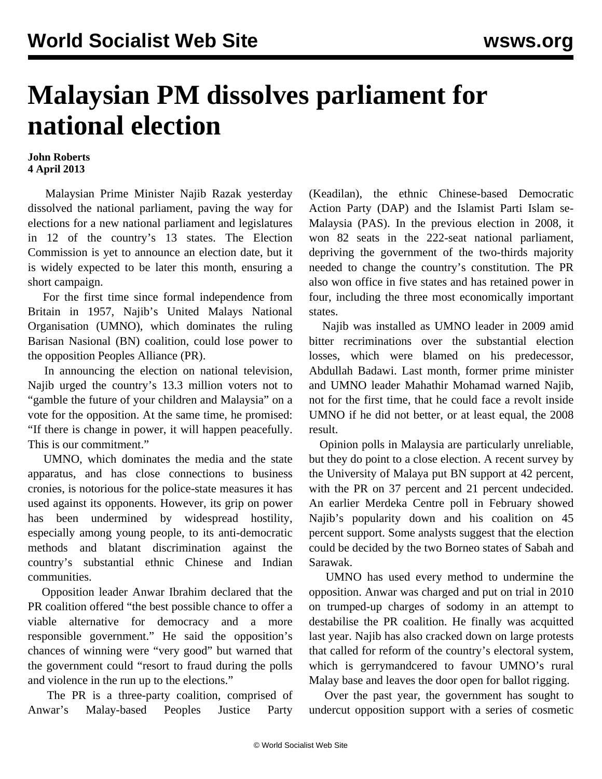## **Malaysian PM dissolves parliament for national election**

## **John Roberts 4 April 2013**

 Malaysian Prime Minister Najib Razak yesterday dissolved the national parliament, paving the way for elections for a new national parliament and legislatures in 12 of the country's 13 states. The Election Commission is yet to announce an election date, but it is widely expected to be later this month, ensuring a short campaign.

 For the first time since formal independence from Britain in 1957, Najib's United Malays National Organisation (UMNO), which dominates the ruling Barisan Nasional (BN) coalition, could lose power to the opposition Peoples Alliance (PR).

 In announcing the election on national television, Najib urged the country's 13.3 million voters not to "gamble the future of your children and Malaysia" on a vote for the opposition. At the same time, he promised: "If there is change in power, it will happen peacefully. This is our commitment."

 UMNO, which dominates the media and the state apparatus, and has close connections to business cronies, is notorious for the police-state measures it has used against its opponents. However, its grip on power has been undermined by widespread hostility, especially among young people, to its anti-democratic methods and blatant discrimination against the country's substantial ethnic Chinese and Indian communities.

 Opposition leader Anwar Ibrahim declared that the PR coalition offered "the best possible chance to offer a viable alternative for democracy and a more responsible government." He said the opposition's chances of winning were "very good" but warned that the government could "resort to fraud during the polls and violence in the run up to the elections."

 The PR is a three-party coalition, comprised of Anwar's Malay-based Peoples Justice Party

(Keadilan), the ethnic Chinese-based Democratic Action Party (DAP) and the Islamist Parti Islam se-Malaysia (PAS). In the previous election in 2008, it won 82 seats in the 222-seat national parliament, depriving the government of the two-thirds majority needed to change the country's constitution. The PR also won office in five states and has retained power in four, including the three most economically important states.

 Najib was installed as UMNO leader in 2009 amid bitter recriminations over the substantial election losses, which were blamed on his predecessor, Abdullah Badawi. Last month, former prime minister and UMNO leader Mahathir Mohamad warned Najib, not for the first time, that he could face a revolt inside UMNO if he did not better, or at least equal, the 2008 result.

 Opinion polls in Malaysia are particularly unreliable, but they do point to a close election. A recent survey by the University of Malaya put BN support at 42 percent, with the PR on 37 percent and 21 percent undecided. An earlier Merdeka Centre poll in February showed Najib's popularity down and his coalition on 45 percent support. Some analysts suggest that the election could be decided by the two Borneo states of Sabah and Sarawak.

 UMNO has used every method to undermine the opposition. Anwar was charged and put on trial in 2010 on trumped-up charges of sodomy in an attempt to destabilise the PR coalition. He finally was acquitted last year. Najib has also cracked down on large protests that called for reform of the country's electoral system, which is gerrymandcered to favour UMNO's rural Malay base and leaves the door open for ballot rigging.

 Over the past year, the government has sought to undercut opposition support with a series of cosmetic